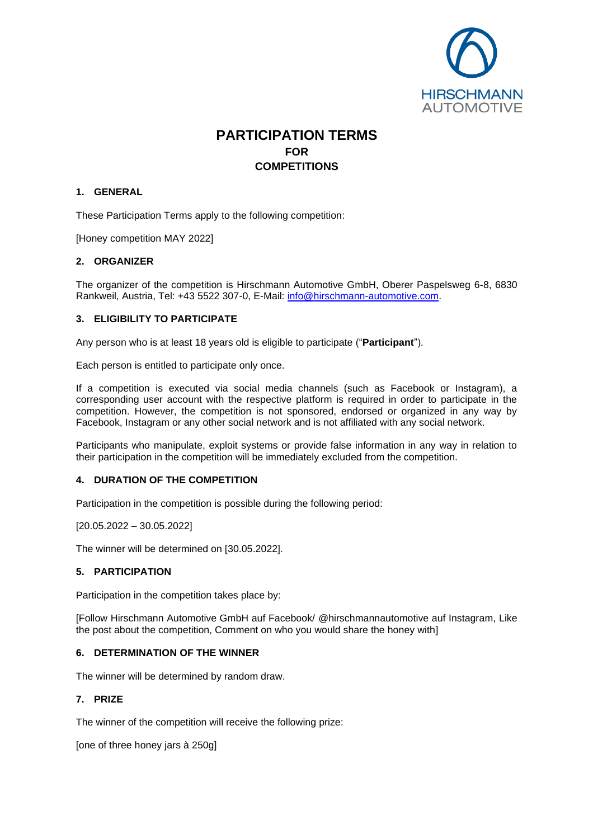

# **PARTICIPATION TERMS FOR COMPETITIONS**

## **1. GENERAL**

These Participation Terms apply to the following competition:

[Honey competition MAY 2022]

### **2. ORGANIZER**

The organizer of the competition is Hirschmann Automotive GmbH, Oberer Paspelsweg 6-8, 6830 Rankweil, Austria, Tel: +43 5522 307-0, E-Mail: [info@hirschmann-automotive.com.](mailto:info@hirschmann-automotive.com)

### **3. ELIGIBILITY TO PARTICIPATE**

Any person who is at least 18 years old is eligible to participate ("**Participant**").

Each person is entitled to participate only once.

If a competition is executed via social media channels (such as Facebook or Instagram), a corresponding user account with the respective platform is required in order to participate in the competition. However, the competition is not sponsored, endorsed or organized in any way by Facebook, Instagram or any other social network and is not affiliated with any social network.

Participants who manipulate, exploit systems or provide false information in any way in relation to their participation in the competition will be immediately excluded from the competition.

#### **4. DURATION OF THE COMPETITION**

Participation in the competition is possible during the following period:

[20.05.2022 – 30.05.2022]

The winner will be determined on [30.05.2022].

#### **5. PARTICIPATION**

Participation in the competition takes place by:

[Follow Hirschmann Automotive GmbH auf Facebook/ @hirschmannautomotive auf Instagram, Like the post about the competition, Comment on who you would share the honey with]

## **6. DETERMINATION OF THE WINNER**

The winner will be determined by random draw.

## **7. PRIZE**

The winner of the competition will receive the following prize:

[one of three honey jars à 250g]